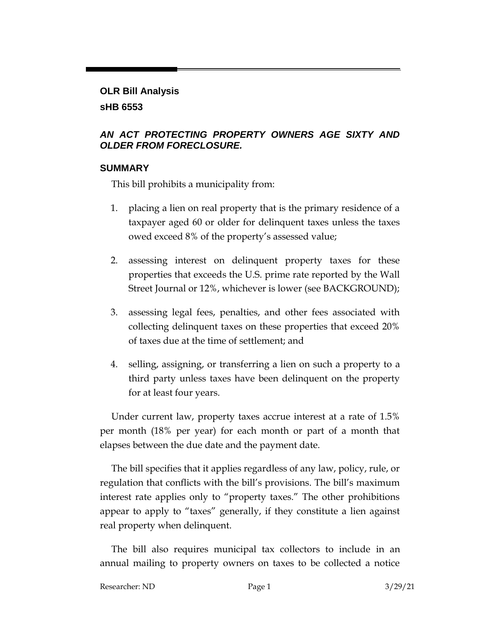# **OLR Bill Analysis sHB 6553**

### *AN ACT PROTECTING PROPERTY OWNERS AGE SIXTY AND OLDER FROM FORECLOSURE.*

#### **SUMMARY**

This bill prohibits a municipality from:

- 1. placing a lien on real property that is the primary residence of a taxpayer aged 60 or older for delinquent taxes unless the taxes owed exceed 8% of the property's assessed value;
- 2. assessing interest on delinquent property taxes for these properties that exceeds the U.S. prime rate reported by the Wall Street Journal or 12%, whichever is lower (see BACKGROUND);
- 3. assessing legal fees, penalties, and other fees associated with collecting delinquent taxes on these properties that exceed 20% of taxes due at the time of settlement; and
- 4. selling, assigning, or transferring a lien on such a property to a third party unless taxes have been delinquent on the property for at least four years.

Under current law, property taxes accrue interest at a rate of 1.5% per month (18% per year) for each month or part of a month that elapses between the due date and the payment date.

The bill specifies that it applies regardless of any law, policy, rule, or regulation that conflicts with the bill's provisions. The bill's maximum interest rate applies only to "property taxes." The other prohibitions appear to apply to "taxes" generally, if they constitute a lien against real property when delinquent.

The bill also requires municipal tax collectors to include in an annual mailing to property owners on taxes to be collected a notice